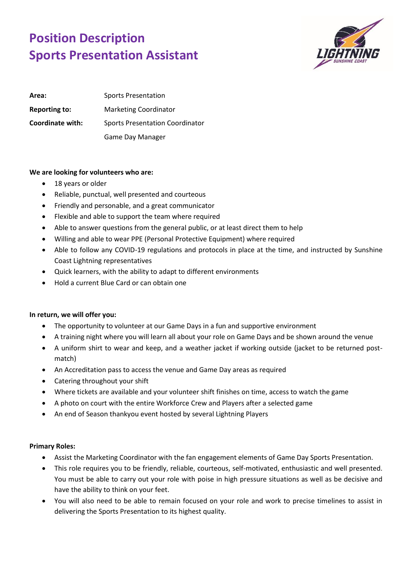## **Position Description Sports Presentation Assistant**



| Area:                | Sports Presentation                    |
|----------------------|----------------------------------------|
| <b>Reporting to:</b> | <b>Marketing Coordinator</b>           |
| Coordinate with:     | <b>Sports Presentation Coordinator</b> |
|                      | Game Day Manager                       |

## **We are looking for volunteers who are:**

- 18 years or older
- Reliable, punctual, well presented and courteous
- Friendly and personable, and a great communicator
- Flexible and able to support the team where required
- Able to answer questions from the general public, or at least direct them to help
- Willing and able to wear PPE (Personal Protective Equipment) where required
- Able to follow any COVID-19 regulations and protocols in place at the time, and instructed by Sunshine Coast Lightning representatives
- Quick learners, with the ability to adapt to different environments
- Hold a current Blue Card or can obtain one

## **In return, we will offer you:**

- The opportunity to volunteer at our Game Days in a fun and supportive environment
- A training night where you will learn all about your role on Game Days and be shown around the venue
- A uniform shirt to wear and keep, and a weather jacket if working outside (jacket to be returned postmatch)
- An Accreditation pass to access the venue and Game Day areas as required
- Catering throughout your shift
- Where tickets are available and your volunteer shift finishes on time, access to watch the game
- A photo on court with the entire Workforce Crew and Players after a selected game
- An end of Season thankyou event hosted by several Lightning Players

## **Primary Roles:**

- Assist the Marketing Coordinator with the fan engagement elements of Game Day Sports Presentation.
- This role requires you to be friendly, reliable, courteous, self-motivated, enthusiastic and well presented. You must be able to carry out your role with poise in high pressure situations as well as be decisive and have the ability to think on your feet.
- You will also need to be able to remain focused on your role and work to precise timelines to assist in delivering the Sports Presentation to its highest quality.